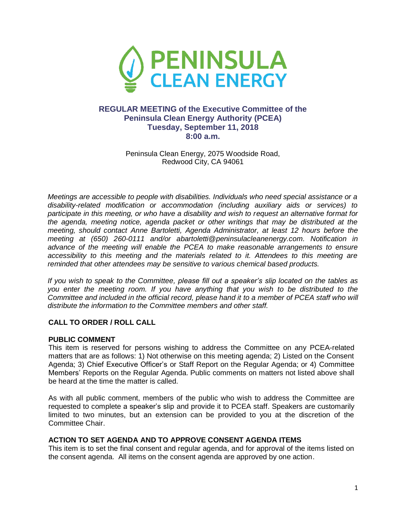

# **REGULAR MEETING of the Executive Committee of the Peninsula Clean Energy Authority (PCEA) Tuesday, September 11, 2018 8:00 a.m.**

Peninsula Clean Energy, 2075 Woodside Road, Redwood City, CA 94061

*Meetings are accessible to people with disabilities. Individuals who need special assistance or a disability-related modification or accommodation (including auxiliary aids or services) to participate in this meeting, or who have a disability and wish to request an alternative format for the agenda, meeting notice, agenda packet or other writings that may be distributed at the meeting, should contact Anne Bartoletti, Agenda Administrator, at least 12 hours before the meeting at (650) 260-0111 and/or abartoletti@peninsulacleanenergy.com. Notification in advance of the meeting will enable the PCEA to make reasonable arrangements to ensure accessibility to this meeting and the materials related to it. Attendees to this meeting are reminded that other attendees may be sensitive to various chemical based products.*

*If you wish to speak to the Committee, please fill out a speaker's slip located on the tables as you enter the meeting room. If you have anything that you wish to be distributed to the Committee and included in the official record, please hand it to a member of PCEA staff who will distribute the information to the Committee members and other staff.*

## **CALL TO ORDER / ROLL CALL**

#### **PUBLIC COMMENT**

This item is reserved for persons wishing to address the Committee on any PCEA-related matters that are as follows: 1) Not otherwise on this meeting agenda; 2) Listed on the Consent Agenda; 3) Chief Executive Officer's or Staff Report on the Regular Agenda; or 4) Committee Members' Reports on the Regular Agenda. Public comments on matters not listed above shall be heard at the time the matter is called.

As with all public comment, members of the public who wish to address the Committee are requested to complete a speaker's slip and provide it to PCEA staff. Speakers are customarily limited to two minutes, but an extension can be provided to you at the discretion of the Committee Chair.

#### **ACTION TO SET AGENDA AND TO APPROVE CONSENT AGENDA ITEMS**

This item is to set the final consent and regular agenda, and for approval of the items listed on the consent agenda. All items on the consent agenda are approved by one action.